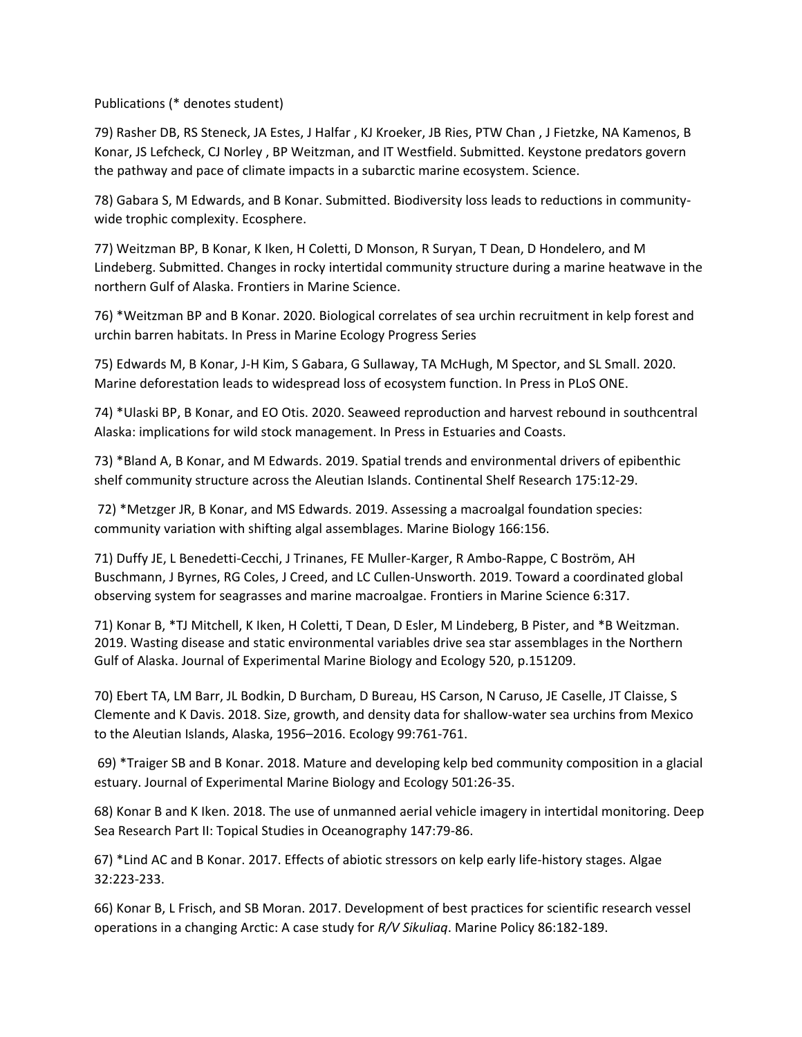Publications (\* denotes student)

79) Rasher DB, RS Steneck, JA Estes, J Halfar , KJ Kroeker, JB Ries, PTW Chan , J Fietzke, NA Kamenos, B Konar, JS Lefcheck, CJ Norley , BP Weitzman, and IT Westfield. Submitted. Keystone predators govern the pathway and pace of climate impacts in a subarctic marine ecosystem. Science.

78) Gabara S, M Edwards, and B Konar. Submitted. Biodiversity loss leads to reductions in communitywide trophic complexity. Ecosphere.

77) Weitzman BP, B Konar, K Iken, H Coletti, D Monson, R Suryan, T Dean, D Hondelero, and M Lindeberg. Submitted. Changes in rocky intertidal community structure during a marine heatwave in the northern Gulf of Alaska. Frontiers in Marine Science.

76) \*Weitzman BP and B Konar. 2020. Biological correlates of sea urchin recruitment in kelp forest and urchin barren habitats. In Press in Marine Ecology Progress Series

75) Edwards M, B Konar, J-H Kim, S Gabara, G Sullaway, TA McHugh, M Spector, and SL Small. 2020. Marine deforestation leads to widespread loss of ecosystem function. In Press in PLoS ONE.

74) \*Ulaski BP, B Konar, and EO Otis. 2020. Seaweed reproduction and harvest rebound in southcentral Alaska: implications for wild stock management. In Press in Estuaries and Coasts.

73) \*Bland A, B Konar, and M Edwards. 2019. Spatial trends and environmental drivers of epibenthic shelf community structure across the Aleutian Islands. Continental Shelf Research 175:12-29.

72) \*Metzger JR, B Konar, and MS Edwards. 2019. Assessing a macroalgal foundation species: community variation with shifting algal assemblages. Marine Biology 166:156.

71) Duffy JE, L Benedetti-Cecchi, J Trinanes, FE Muller-Karger, R Ambo-Rappe, C Boström, AH Buschmann, J Byrnes, RG Coles, J Creed, and LC Cullen-Unsworth. 2019. Toward a coordinated global observing system for seagrasses and marine macroalgae. Frontiers in Marine Science 6:317.

71) Konar B, \*TJ Mitchell, K Iken, H Coletti, T Dean, D Esler, M Lindeberg, B Pister, and \*B Weitzman. 2019. Wasting disease and static environmental variables drive sea star assemblages in the Northern Gulf of Alaska. Journal of Experimental Marine Biology and Ecology 520, p.151209.

70) Ebert TA, LM Barr, JL Bodkin, D Burcham, D Bureau, HS Carson, N Caruso, JE Caselle, JT Claisse, S Clemente and K Davis. 2018. Size, growth, and density data for shallow‐water sea urchins from Mexico to the Aleutian Islands, Alaska, 1956–2016. Ecology 99:761-761.

69) \*Traiger SB and B Konar. 2018. Mature and developing kelp bed community composition in a glacial estuary. Journal of Experimental Marine Biology and Ecology 501:26-35.

68) Konar B and K Iken. 2018. The use of unmanned aerial vehicle imagery in intertidal monitoring. Deep Sea Research Part II: Topical Studies in Oceanography 147:79-86.

67) \*Lind AC and B Konar. 2017. Effects of abiotic stressors on kelp early life-history stages. Algae 32:223-233.

66) Konar B, L Frisch, and SB Moran. 2017. Development of best practices for scientific research vessel operations in a changing Arctic: A case study for *R/V Sikuliaq*. Marine Policy 86:182-189.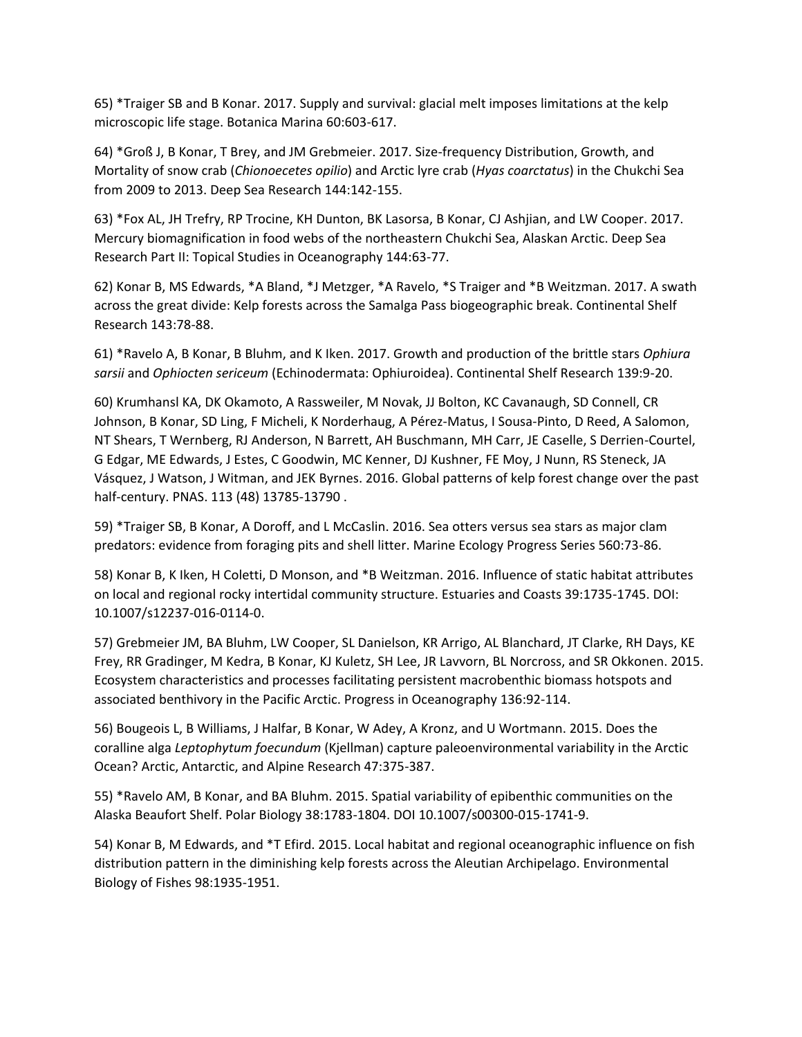65) \*Traiger SB and B Konar. 2017. Supply and survival: glacial melt imposes limitations at the kelp microscopic life stage. Botanica Marina 60:603-617.

64) \*Groß J, B Konar, T Brey, and JM Grebmeier. 2017. Size-frequency Distribution, Growth, and Mortality of snow crab (*Chionoecetes opilio*) and Arctic lyre crab (*Hyas coarctatus*) in the Chukchi Sea from 2009 to 2013. Deep Sea Research 144:142-155.

63) \*Fox AL, JH Trefry, RP Trocine, KH Dunton, BK Lasorsa, B Konar, CJ Ashjian, and LW Cooper. 2017. Mercury biomagnification in food webs of the northeastern Chukchi Sea, Alaskan Arctic. Deep Sea Research Part II: Topical Studies in Oceanography 144:63-77.

62) Konar B, MS Edwards, \*A Bland, \*J Metzger, \*A Ravelo, \*S Traiger and \*B Weitzman. 2017. A swath across the great divide: Kelp forests across the Samalga Pass biogeographic break. Continental Shelf Research 143:78-88.

61) \*Ravelo A, B Konar, B Bluhm, and K Iken. 2017. Growth and production of the brittle stars *Ophiura sarsii* and *Ophiocten sericeum* (Echinodermata: Ophiuroidea). Continental Shelf Research 139:9-20.

60) Krumhansl KA, DK Okamoto, A Rassweiler, M Novak, JJ Bolton, KC Cavanaugh, SD Connell, CR Johnson, B Konar, SD Ling, F Micheli, K Norderhaug, A Pérez-Matus, I Sousa-Pinto, D Reed, A Salomon, NT Shears, T Wernberg, RJ Anderson, N Barrett, AH Buschmann, MH Carr, JE Caselle, S Derrien-Courtel, G Edgar, ME Edwards, J Estes, C Goodwin, MC Kenner, DJ Kushner, FE Moy, J Nunn, RS Steneck, JA Vásquez, J Watson, J Witman, and JEK Byrnes. 2016. Global patterns of kelp forest change over the past half-century. PNAS. 113 (48) 13785-13790 .

59) \*Traiger SB, B Konar, A Doroff, and L McCaslin. 2016. Sea otters versus sea stars as major clam predators: evidence from foraging pits and shell litter. Marine Ecology Progress Series 560:73-86.

58) Konar B, K Iken, H Coletti, D Monson, and \*B Weitzman. 2016. Influence of static habitat attributes on local and regional rocky intertidal community structure. Estuaries and Coasts 39:1735-1745. DOI: 10.1007/s12237-016-0114-0.

57) Grebmeier JM, BA Bluhm, LW Cooper, SL Danielson, KR Arrigo, AL Blanchard, JT Clarke, RH Days, KE Frey, RR Gradinger, M Kedra, B Konar, KJ Kuletz, SH Lee, JR Lavvorn, BL Norcross, and SR Okkonen. 2015. Ecosystem characteristics and processes facilitating persistent macrobenthic biomass hotspots and associated benthivory in the Pacific Arctic. Progress in Oceanography 136:92-114.

56) Bougeois L, B Williams, J Halfar, B Konar, W Adey, A Kronz, and U Wortmann. 2015. Does the coralline alga *Leptophytum foecundum* (Kjellman) capture paleoenvironmental variability in the Arctic Ocean? Arctic, Antarctic, and Alpine Research 47:375-387.

55) \*Ravelo AM, B Konar, and BA Bluhm. 2015. Spatial variability of epibenthic communities on the Alaska Beaufort Shelf. Polar Biology 38:1783-1804. DOI 10.1007/s00300-015-1741-9.

54) Konar B, M Edwards, and \*T Efird. 2015. Local habitat and regional oceanographic influence on fish distribution pattern in the diminishing kelp forests across the Aleutian Archipelago. Environmental Biology of Fishes 98:1935-1951.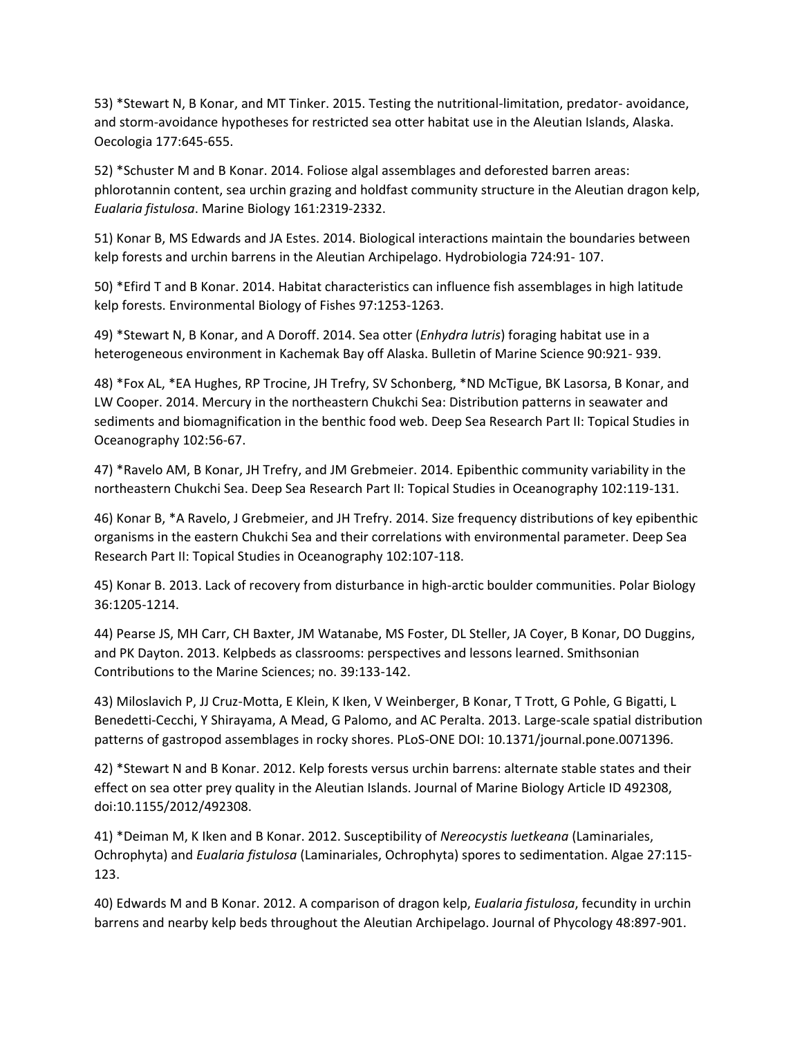53) \*Stewart N, B Konar, and MT Tinker. 2015. Testing the nutritional-limitation, predator- avoidance, and storm-avoidance hypotheses for restricted sea otter habitat use in the Aleutian Islands, Alaska. Oecologia 177:645-655.

52) \*Schuster M and B Konar. 2014. Foliose algal assemblages and deforested barren areas: phlorotannin content, sea urchin grazing and holdfast community structure in the Aleutian dragon kelp, *Eualaria fistulosa*. Marine Biology 161:2319-2332.

51) Konar B, MS Edwards and JA Estes. 2014. Biological interactions maintain the boundaries between kelp forests and urchin barrens in the Aleutian Archipelago. Hydrobiologia 724:91- 107.

50) \*Efird T and B Konar. 2014. Habitat characteristics can influence fish assemblages in high latitude kelp forests. Environmental Biology of Fishes 97:1253-1263.

49) \*Stewart N, B Konar, and A Doroff. 2014. Sea otter (*Enhydra lutris*) foraging habitat use in a heterogeneous environment in Kachemak Bay off Alaska. Bulletin of Marine Science 90:921- 939.

48) \*Fox AL, \*EA Hughes, RP Trocine, JH Trefry, SV Schonberg, \*ND McTigue, BK Lasorsa, B Konar, and LW Cooper. 2014. Mercury in the northeastern Chukchi Sea: Distribution patterns in seawater and sediments and biomagnification in the benthic food web. Deep Sea Research Part II: Topical Studies in Oceanography 102:56-67.

47) \*Ravelo AM, B Konar, JH Trefry, and JM Grebmeier. 2014. Epibenthic community variability in the northeastern Chukchi Sea. Deep Sea Research Part II: Topical Studies in Oceanography 102:119-131.

46) Konar B, \*A Ravelo, J Grebmeier, and JH Trefry. 2014. Size frequency distributions of key epibenthic organisms in the eastern Chukchi Sea and their correlations with environmental parameter. Deep Sea Research Part II: Topical Studies in Oceanography 102:107-118.

45) Konar B. 2013. Lack of recovery from disturbance in high-arctic boulder communities. Polar Biology 36:1205-1214.

44) Pearse JS, MH Carr, CH Baxter, JM Watanabe, MS Foster, DL Steller, JA Coyer, B Konar, DO Duggins, and PK Dayton. 2013. Kelpbeds as classrooms: perspectives and lessons learned. Smithsonian Contributions to the Marine Sciences; no. 39:133-142.

43) Miloslavich P, JJ Cruz-Motta, E Klein, K Iken, V Weinberger, B Konar, T Trott, G Pohle, G Bigatti, L Benedetti-Cecchi, Y Shirayama, A Mead, G Palomo, and AC Peralta. 2013. Large-scale spatial distribution patterns of gastropod assemblages in rocky shores. PLoS-ONE DOI: 10.1371/journal.pone.0071396.

42) \*Stewart N and B Konar. 2012. Kelp forests versus urchin barrens: alternate stable states and their effect on sea otter prey quality in the Aleutian Islands. Journal of Marine Biology Article ID 492308, doi:10.1155/2012/492308.

41) \*Deiman M, K Iken and B Konar. 2012. Susceptibility of *Nereocystis luetkeana* (Laminariales, Ochrophyta) and *Eualaria fistulosa* (Laminariales, Ochrophyta) spores to sedimentation. Algae 27:115- 123.

40) Edwards M and B Konar. 2012. A comparison of dragon kelp, *Eualaria fistulosa*, fecundity in urchin barrens and nearby kelp beds throughout the Aleutian Archipelago. Journal of Phycology 48:897-901.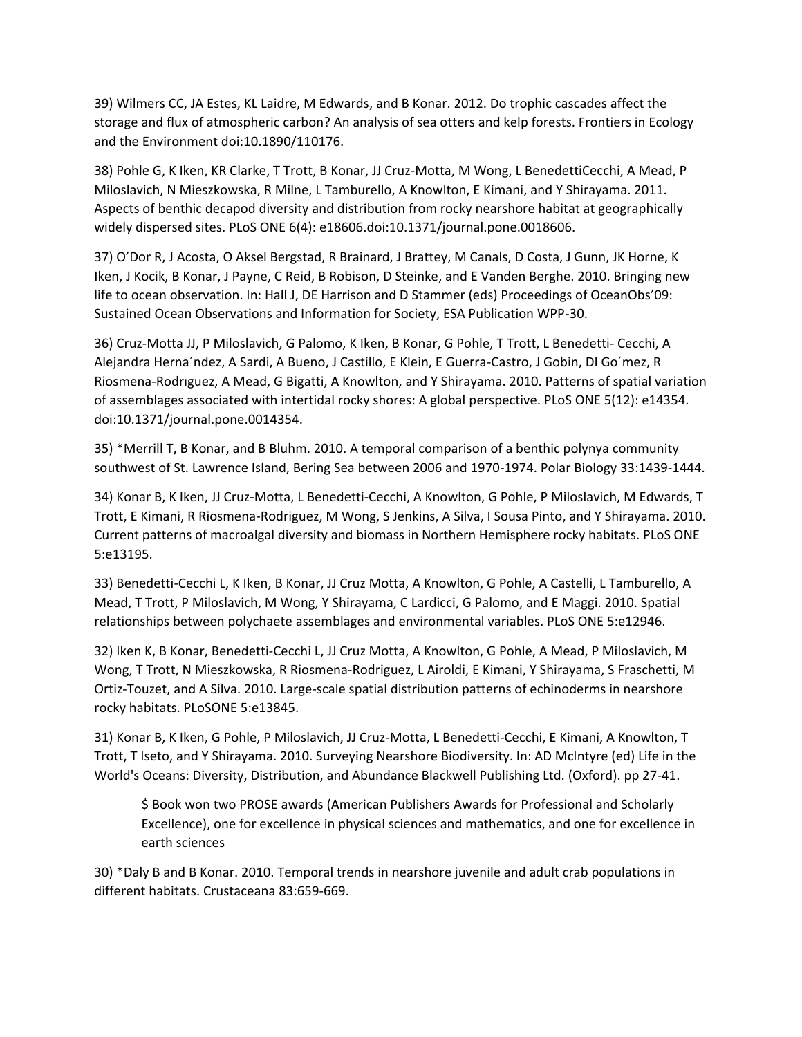39) Wilmers CC, JA Estes, KL Laidre, M Edwards, and B Konar. 2012. Do trophic cascades affect the storage and flux of atmospheric carbon? An analysis of sea otters and kelp forests. Frontiers in Ecology and the Environment doi:10.1890/110176.

38) Pohle G, K Iken, KR Clarke, T Trott, B Konar, JJ Cruz-Motta, M Wong, L BenedettiCecchi, A Mead, P Miloslavich, N Mieszkowska, R Milne, L Tamburello, A Knowlton, E Kimani, and Y Shirayama. 2011. Aspects of benthic decapod diversity and distribution from rocky nearshore habitat at geographically widely dispersed sites. PLoS ONE 6(4): e18606.doi:10.1371/journal.pone.0018606.

37) O'Dor R, J Acosta, O Aksel Bergstad, R Brainard, J Brattey, M Canals, D Costa, J Gunn, JK Horne, K Iken, J Kocik, B Konar, J Payne, C Reid, B Robison, D Steinke, and E Vanden Berghe. 2010. Bringing new life to ocean observation. In: Hall J, DE Harrison and D Stammer (eds) Proceedings of OceanObs'09: Sustained Ocean Observations and Information for Society, ESA Publication WPP-30.

36) Cruz-Motta JJ, P Miloslavich, G Palomo, K Iken, B Konar, G Pohle, T Trott, L Benedetti- Cecchi, A Alejandra Herna´ndez, A Sardi, A Bueno, J Castillo, E Klein, E Guerra-Castro, J Gobin, DI Go´mez, R Riosmena-Rodrıguez, A Mead, G Bigatti, A Knowlton, and Y Shirayama. 2010. Patterns of spatial variation of assemblages associated with intertidal rocky shores: A global perspective. PLoS ONE 5(12): e14354. doi:10.1371/journal.pone.0014354.

35) \*Merrill T, B Konar, and B Bluhm. 2010. A temporal comparison of a benthic polynya community southwest of St. Lawrence Island, Bering Sea between 2006 and 1970-1974. Polar Biology 33:1439-1444.

34) Konar B, K Iken, JJ Cruz-Motta, L Benedetti-Cecchi, A Knowlton, G Pohle, P Miloslavich, M Edwards, T Trott, E Kimani, R Riosmena-Rodriguez, M Wong, S Jenkins, A Silva, I Sousa Pinto, and Y Shirayama. 2010. Current patterns of macroalgal diversity and biomass in Northern Hemisphere rocky habitats. PLoS ONE 5:e13195.

33) Benedetti-Cecchi L, K Iken, B Konar, JJ Cruz Motta, A Knowlton, G Pohle, A Castelli, L Tamburello, A Mead, T Trott, P Miloslavich, M Wong, Y Shirayama, C Lardicci, G Palomo, and E Maggi. 2010. Spatial relationships between polychaete assemblages and environmental variables. PLoS ONE 5:e12946.

32) Iken K, B Konar, Benedetti-Cecchi L, JJ Cruz Motta, A Knowlton, G Pohle, A Mead, P Miloslavich, M Wong, T Trott, N Mieszkowska, R Riosmena-Rodriguez, L Airoldi, E Kimani, Y Shirayama, S Fraschetti, M Ortiz-Touzet, and A Silva. 2010. Large-scale spatial distribution patterns of echinoderms in nearshore rocky habitats. PLoSONE 5:e13845.

31) Konar B, K Iken, G Pohle, P Miloslavich, JJ Cruz-Motta, L Benedetti-Cecchi, E Kimani, A Knowlton, T Trott, T Iseto, and Y Shirayama. 2010. Surveying Nearshore Biodiversity. In: AD McIntyre (ed) Life in the World's Oceans: Diversity, Distribution, and Abundance Blackwell Publishing Ltd. (Oxford). pp 27-41.

\$ Book won two PROSE awards (American Publishers Awards for Professional and Scholarly Excellence), one for excellence in physical sciences and mathematics, and one for excellence in earth sciences

30) \*Daly B and B Konar. 2010. Temporal trends in nearshore juvenile and adult crab populations in different habitats. Crustaceana 83:659-669.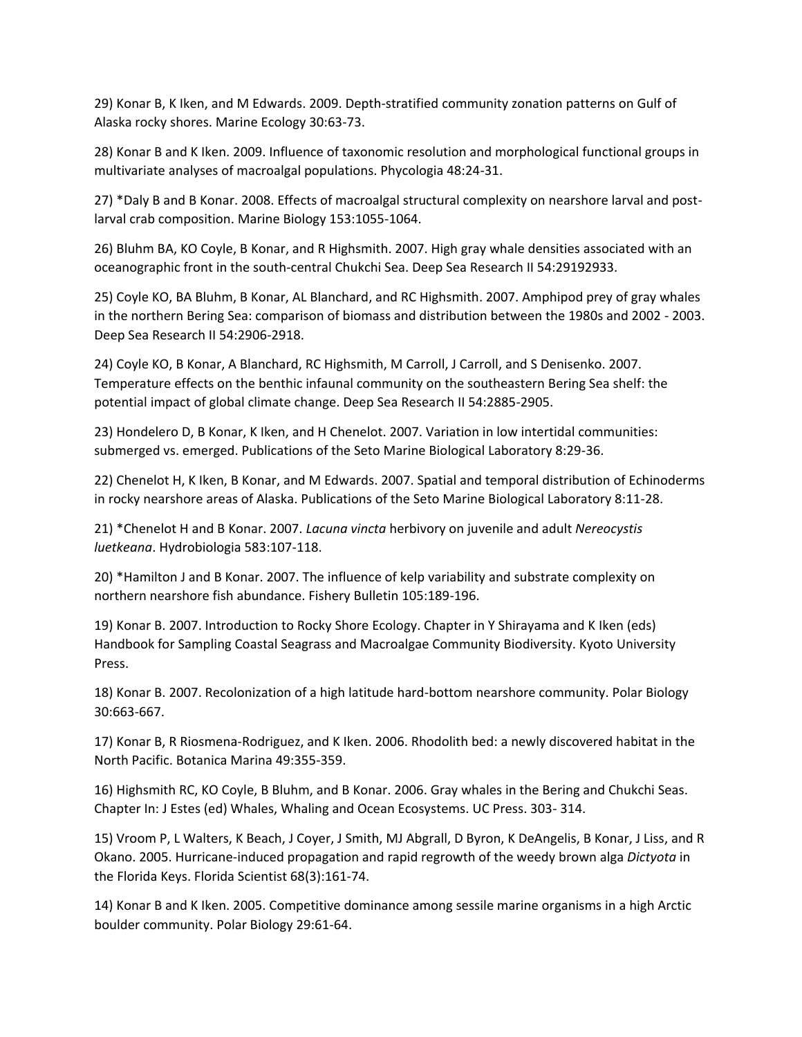29) Konar B, K Iken, and M Edwards. 2009. Depth-stratified community zonation patterns on Gulf of Alaska rocky shores. Marine Ecology 30:63-73.

28) Konar B and K Iken. 2009. Influence of taxonomic resolution and morphological functional groups in multivariate analyses of macroalgal populations. Phycologia 48:24-31.

27) \*Daly B and B Konar. 2008. Effects of macroalgal structural complexity on nearshore larval and postlarval crab composition. Marine Biology 153:1055-1064.

26) Bluhm BA, KO Coyle, B Konar, and R Highsmith. 2007. High gray whale densities associated with an oceanographic front in the south-central Chukchi Sea. Deep Sea Research II 54:29192933.

25) Coyle KO, BA Bluhm, B Konar, AL Blanchard, and RC Highsmith. 2007. Amphipod prey of gray whales in the northern Bering Sea: comparison of biomass and distribution between the 1980s and 2002 - 2003. Deep Sea Research II 54:2906-2918.

24) Coyle KO, B Konar, A Blanchard, RC Highsmith, M Carroll, J Carroll, and S Denisenko. 2007. Temperature effects on the benthic infaunal community on the southeastern Bering Sea shelf: the potential impact of global climate change. Deep Sea Research II 54:2885-2905.

23) Hondelero D, B Konar, K Iken, and H Chenelot. 2007. Variation in low intertidal communities: submerged vs. emerged. Publications of the Seto Marine Biological Laboratory 8:29-36.

22) Chenelot H, K Iken, B Konar, and M Edwards. 2007. Spatial and temporal distribution of Echinoderms in rocky nearshore areas of Alaska. Publications of the Seto Marine Biological Laboratory 8:11-28.

21) \*Chenelot H and B Konar. 2007. *Lacuna vincta* herbivory on juvenile and adult *Nereocystis luetkeana*. Hydrobiologia 583:107-118.

20) \*Hamilton J and B Konar. 2007. The influence of kelp variability and substrate complexity on northern nearshore fish abundance. Fishery Bulletin 105:189-196.

19) Konar B. 2007. Introduction to Rocky Shore Ecology. Chapter in Y Shirayama and K Iken (eds) Handbook for Sampling Coastal Seagrass and Macroalgae Community Biodiversity. Kyoto University Press.

18) Konar B. 2007. Recolonization of a high latitude hard-bottom nearshore community. Polar Biology 30:663-667.

17) Konar B, R Riosmena-Rodriguez, and K Iken. 2006. Rhodolith bed: a newly discovered habitat in the North Pacific. Botanica Marina 49:355-359.

16) Highsmith RC, KO Coyle, B Bluhm, and B Konar. 2006. Gray whales in the Bering and Chukchi Seas. Chapter In: J Estes (ed) Whales, Whaling and Ocean Ecosystems. UC Press. 303- 314.

15) Vroom P, L Walters, K Beach, J Coyer, J Smith, MJ Abgrall, D Byron, K DeAngelis, B Konar, J Liss, and R Okano. 2005. Hurricane-induced propagation and rapid regrowth of the weedy brown alga *Dictyota* in the Florida Keys. Florida Scientist 68(3):161-74.

14) Konar B and K Iken. 2005. Competitive dominance among sessile marine organisms in a high Arctic boulder community. Polar Biology 29:61-64.